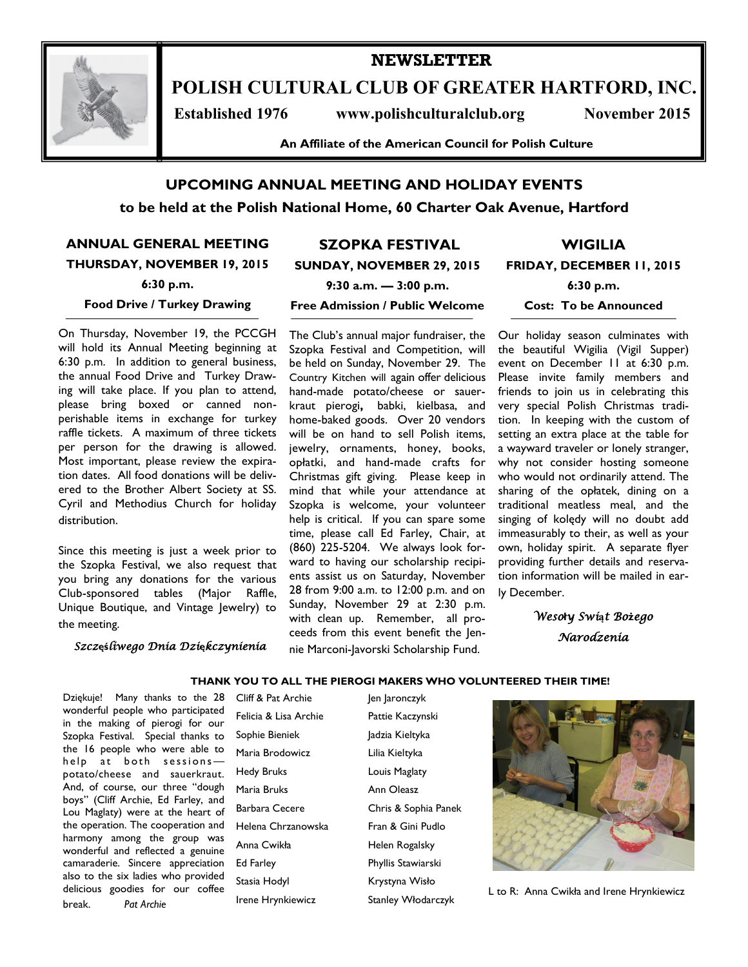

# **NEWSLETTER**

**POLISH CULTURAL CLUB OF GREATER HARTFORD, INC.**

 **Established 1976 www.polishculturalclub.org November 2015**

**An Affiliate of the American Council for Polish Culture**

### **UPCOMING ANNUAL MEETING AND HOLIDAY EVENTS**

**to be held at the Polish National Home, 60 Charter Oak Avenue, Hartford**

**ANNUAL GENERAL MEETING THURSDAY, NOVEMBER 19, 2015**

**6:30 p.m.**

#### **Food Drive / Turkey Drawing**

On Thursday, November 19, the PCCGH will hold its Annual Meeting beginning at 6:30 p.m. In addition to general business, the annual Food Drive and Turkey Drawing will take place. If you plan to attend, please bring boxed or canned nonperishable items in exchange for turkey raffle tickets. A maximum of three tickets per person for the drawing is allowed. Most important, please review the expiration dates. All food donations will be delivered to the Brother Albert Society at SS. Cyril and Methodius Church for holiday distribution.

Since this meeting is just a week prior to the Szopka Festival, we also request that you bring any donations for the various Club-sponsored tables (Major Raffle, Unique Boutique, and Vintage Jewelry) to the meeting.

#### *Szcz***ęś***liwego Dnia Dzi***ę***kczynienia*

## **SZOPKA FESTIVAL**

**SUNDAY, NOVEMBER 29, 2015**

**WIGILIA FRIDAY, DECEMBER 11, 2015**

**6:30 p.m.**

**Cost: To be Announced**

**9:30 a.m. — 3:00 p.m.**

#### **Free Admission / Public Welcome**

The Club's annual major fundraiser, the Szopka Festival and Competition, will be held on Sunday, November 29. The Country Kitchen will again offer delicious hand-made potato/cheese or sauerkraut pierogi**,** babki, kielbasa, and home-baked goods. Over 20 vendors will be on hand to sell Polish items, jewelry, ornaments, honey, books, opłatki, and hand-made crafts for Christmas gift giving. Please keep in mind that while your attendance at Szopka is welcome, your volunteer help is critical. If you can spare some time, please call Ed Farley, Chair, at (860) 225-5204. We always look forward to having our scholarship recipients assist us on Saturday, November 28 from 9:00 a.m. to 12:00 p.m. and on Sunday, November 29 at 2:30 p.m. with clean up. Remember, all proceeds from this event benefit the Jennie Marconi-Javorski Scholarship Fund.

Our holiday season culminates with the beautiful Wigilia (Vigil Supper) event on December 11 at 6:30 p.m. Please invite family members and friends to join us in celebrating this very special Polish Christmas tradition. In keeping with the custom of setting an extra place at the table for a wayward traveler or lonely stranger, why not consider hosting someone who would not ordinarily attend. The sharing of the opłatek, dining on a traditional meatless meal, and the singing of kolędy will no doubt add immeasurably to their, as well as your own, holiday spirit. A separate flyer providing further details and reservation information will be mailed in early December.

> *Weso***ł***y Swi***ą***t Bo***ż***ego Narodzenia*

#### **THANK YOU TO ALL THE PIEROGI MAKERS WHO VOLUNTEERED THEIR TIME!**

 Dziękuje! Many thanks to the 28 wonderful people who participated in the making of pierogi for our Szopka Festival. Special thanks to the 16 people who were able to help at both sessionspotato/cheese and sauerkraut. And, of course, our three "dough boys" (Cliff Archie, Ed Farley, and Lou Maglaty) were at the heart of the operation. The cooperation and harmony among the group was wonderful and reflected a genuine camaraderie. Sincere appreciation also to the six ladies who provided delicious goodies for our coffee break. *Pat Archie*

Cliff & Pat Archie Jen Jaronczyk Felicia & Lisa Archie Pattie Kaczynski Sophie Bieniek **Jadzia Kieltyka** Maria Brodowicz Lilia Kieltyka Hedy Bruks Louis Maglaty Maria Bruks **Ann Oleasz** Barbara Cecere Chris & Sophia Panek Helena Chrzanowska Fran & Gini Pudlo Anna Cwikła Helen Rogalsky Ed Farley Phyllis Stawiarski Stasia Hodyl **Krystyna Wisło** Irene Hrynkiewicz Stanley Włodarczyk



L to R: Anna Cwikła and Irene Hrynkiewicz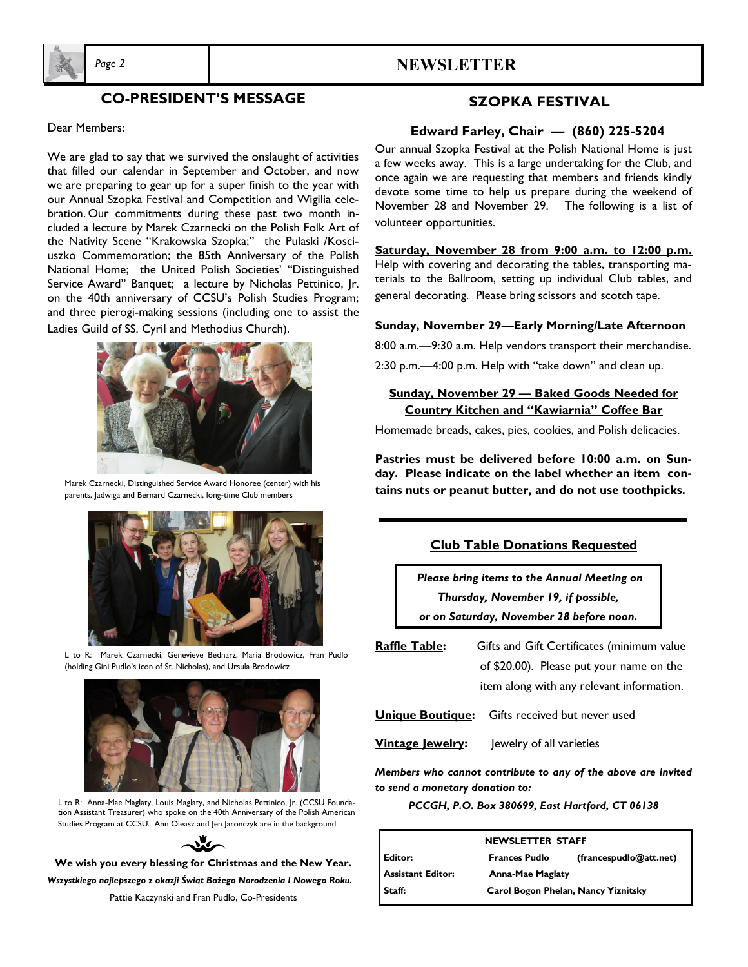

### *Page 2* **NEWSLETTER**

### **CO-PRESIDENT'S MESSAGE**

#### Dear Members:

We are glad to say that we survived the onslaught of activities that filled our calendar in September and October, and now we are preparing to gear up for a super finish to the year with our Annual Szopka Festival and Competition and Wigilia celebration. Our commitments during these past two month included a lecture by Marek Czarnecki on the Polish Folk Art of the Nativity Scene "Krakowska Szopka;" the Pulaski /Kosciuszko Commemoration; the 85th Anniversary of the Polish National Home; the United Polish Societies' "Distinguished Service Award" Banquet; a lecture by Nicholas Pettinico, Jr. on the 40th anniversary of CCSU's Polish Studies Program; and three pierogi-making sessions (including one to assist the Ladies Guild of SS. Cyril and Methodius Church).



Marek Czarnecki, Distinguished Service Award Honoree (center) with his parents, Jadwiga and Bernard Czarnecki, long-time Club members



L to R: Marek Czarnecki, Genevieve Bednarz, Maria Brodowicz, Fran Pudlo (holding Gini Pudlo's icon of St. Nicholas), and Ursula Brodowicz



L to R: Anna-Mae Maglaty, Louis Maglaty, and Nicholas Pettinico, Jr. (CCSU Foundation Assistant Treasurer) who spoke on the 40th Anniversary of the Polish American Studies Program at CCSU. Ann Oleasz and Jen Jaronczyk are in the background.



**We wish you every blessing for Christmas and the New Year.**  *Wszystkiego najlepszego z okazji Świąt Bożego Narodzenia I Nowego Roku.*

Pattie Kaczynski and Fran Pudlo, Co-Presidents

#### **SZOPKA FESTIVAL**

#### **Edward Farley, Chair — (860) 225-5204**

Our annual Szopka Festival at the Polish National Home is just a few weeks away. This is a large undertaking for the Club, and once again we are requesting that members and friends kindly devote some time to help us prepare during the weekend of November 28 and November 29. The following is a list of volunteer opportunities.

**Saturday, November 28 from 9:00 a.m. to 12:00 p.m.** Help with covering and decorating the tables, transporting materials to the Ballroom, setting up individual Club tables, and general decorating. Please bring scissors and scotch tape.

#### **Sunday, November 29—Early Morning/Late Afternoon**

8:00 a.m.—9:30 a.m. Help vendors transport their merchandise.

2:30 p.m.—4:00 p.m. Help with "take down" and clean up.

#### **Sunday, November 29 — Baked Goods Needed for Country Kitchen and "Kawiarnia" Coffee Bar**

Homemade breads, cakes, pies, cookies, and Polish delicacies.

**Pastries must be delivered before 10:00 a.m. on Sunday. Please indicate on the label whether an item contains nuts or peanut butter, and do not use toothpicks.**

| <b>Club Table Donations Requested</b>       |  |
|---------------------------------------------|--|
| Please bring items to the Annual Meeting on |  |
| Thursday, November 19, if possible,         |  |
| or on Saturday, November 28 before noon.    |  |

**Raffle Table:** Gifts and Gift Certificates (minimum value of \$20.00). Please put your name on the

item along with any relevant information.

**Unique Boutique:** Gifts received but never used

**Vintage Jewelry:** Jewelry of all varieties

*Members who cannot contribute to any of the above are invited to send a monetary donation to:* 

#### *PCCGH, P.O. Box 380699, East Hartford, CT 06138*

| <b>NEWSLETTER STAFF</b>  |                         |                                     |  |  |
|--------------------------|-------------------------|-------------------------------------|--|--|
| l Editor:                | <b>Frances Pudlo</b>    | (francespudlo@att.net)              |  |  |
| <b>Assistant Editor:</b> | <b>Anna-Mae Maglaty</b> |                                     |  |  |
| Staff:                   |                         | Carol Bogon Phelan, Nancy Yiznitsky |  |  |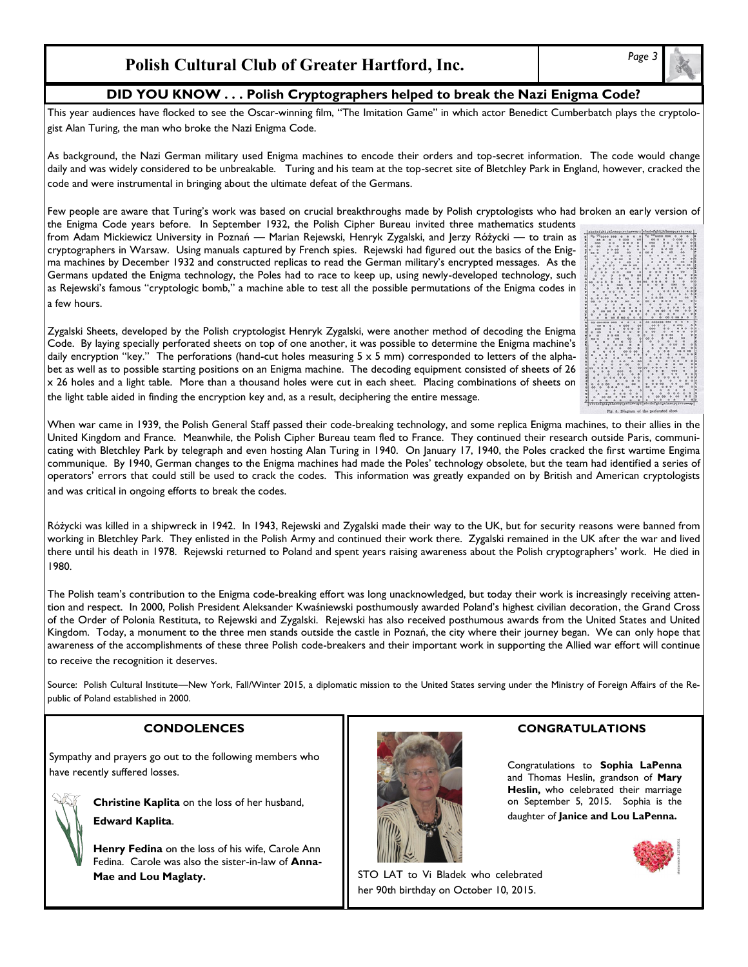### **Polish Cultural Club of Greater Hartford, Inc.**

### **DID YOU KNOW . . . Polish Cryptographers helped to break the Nazi Enigma Code?**

This year audiences have flocked to see the Oscar-winning film, "The Imitation Game" in which actor Benedict Cumberbatch plays the cryptologist Alan Turing, the man who broke the Nazi Enigma Code.

As background, the Nazi German military used Enigma machines to encode their orders and top-secret information. The code would change daily and was widely considered to be unbreakable. Turing and his team at the top-secret site of Bletchley Park in England, however, cracked the code and were instrumental in bringing about the ultimate defeat of the Germans.

Few people are aware that Turing's work was based on crucial breakthroughs made by Polish cryptologists who had broken an early version of

the Enigma Code years before. In September 1932, the Polish Cipher Bureau invited three mathematics students from Adam Mickiewicz University in Poznań — Marian Rejewski, Henryk Zygalski, and Jerzy Różycki — to train as cryptographers in Warsaw. Using manuals captured by French spies. Rejewski had figured out the basics of the Enigma machines by December 1932 and constructed replicas to read the German military's encrypted messages. As the Germans updated the Enigma technology, the Poles had to race to keep up, using newly-developed technology, such as Rejewski's famous "cryptologic bomb," a machine able to test all the possible permutations of the Enigma codes in a few hours.



Code. By laying specially perforated sheets on top of one another, it was possible to determine the Enigma machine's daily encryption "key." The perforations (hand-cut holes measuring  $5 \times 5$  mm) corresponded to letters of the alphabet as well as to possible starting positions on an Enigma machine. The decoding equipment consisted of sheets of 26 x 26 holes and a light table. More than a thousand holes were cut in each sheet. Placing combinations of sheets on the light table aided in finding the encryption key and, as a result, deciphering the entire message.

When war came in 1939, the Polish General Staff passed their code-breaking technology, and some replica Enigma machines, to their allies in the United Kingdom and France. Meanwhile, the Polish Cipher Bureau team fled to France. They continued their research outside Paris, communicating with Bletchley Park by telegraph and even hosting Alan Turing in 1940. On January 17, 1940, the Poles cracked the first wartime Engima communique. By 1940, German changes to the Enigma machines had made the Poles' technology obsolete, but the team had identified a series of operators' errors that could still be used to crack the codes. This information was greatly expanded on by British and American cryptologists and was critical in ongoing efforts to break the codes.

Różycki was killed in a shipwreck in 1942. In 1943, Rejewski and Zygalski made their way to the UK, but for security reasons were banned from working in Bletchley Park. They enlisted in the Polish Army and continued their work there. Zygalski remained in the UK after the war and lived there until his death in 1978. Rejewski returned to Poland and spent years raising awareness about the Polish cryptographers' work. He died in 1980.

The Polish team's contribution to the Enigma code-breaking effort was long unacknowledged, but today their work is increasingly receiving attention and respect. In 2000, Polish President Aleksander Kwaśniewski posthumously awarded Poland's highest civilian decoration, the Grand Cross of the Order of Polonia Restituta, to Rejewski and Zygalski. Rejewski has also received posthumous awards from the United States and United Kingdom. Today, a monument to the three men stands outside the castle in Poznań, the city where their journey began. We can only hope that awareness of the accomplishments of these three Polish code-breakers and their important work in supporting the Allied war effort will continue to receive the recognition it deserves.

Source: Polish Cultural Institute—New York, Fall/Winter 2015, a diplomatic mission to the United States serving under the Ministry of Foreign Affairs of the Republic of Poland established in 2000.

Sympathy and prayers go out to the following members who have recently suffered losses.

**Christine Kaplita** on the loss of her husband,

**Edward Kaplita**.

**Henry Fedina** on the loss of his wife, Carole Ann Fedina. Carole was also the sister-in-law of **Anna-Mae and Lou Maglaty.** Notice and Lou Maglaty.



### **CONDOLENCES CONGRATULATIONS**

Congratulations to **Sophia LaPenna**  and Thomas Heslin, grandson of **Mary Heslin,** who celebrated their marriage on September 5, 2015. Sophia is the daughter of **Janice and Lou LaPenna.**





her 90th birthday on October 10, 2015.